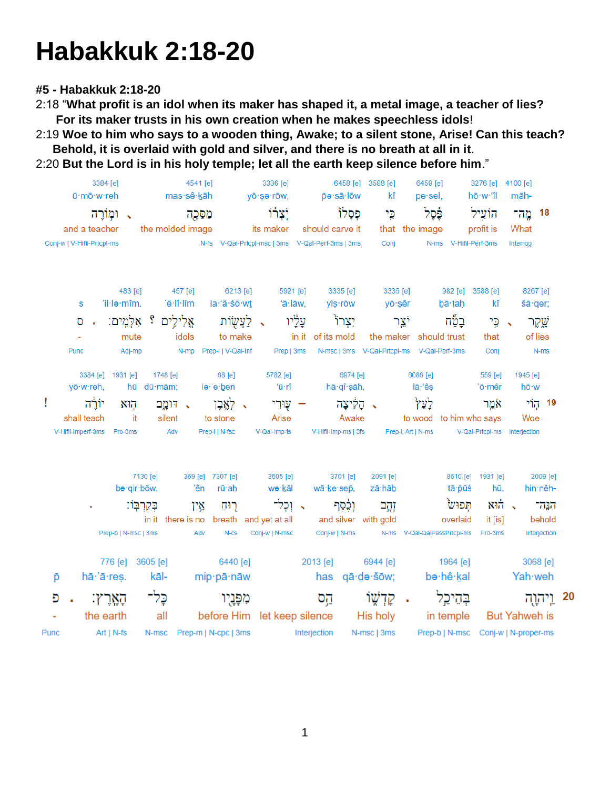## **Habakkuk 2:18-20**

**#5 - Habakkuk 2:18-20**

2:18 "**What profit is an idol when its maker has shaped it, a metal image, a teacher of lies? For its maker trusts in his own creation when he makes speechless idols**!

2:19 **Woe to him who says to a wooden thing, Awake; to a silent stone, Arise! Can this teach? Behold, it is overlaid with gold and silver, and there is no breath at all in it**.

2:20 **But the Lord is in his holy temple; let all the earth keep silence before him**."

| 3384 [e]<br>ū·mō·w·reh<br>ומורה<br>$\Delta$<br>and a teacher |                                                     |                        |                              | 4541 [e]<br>mas·sê·kāh           |                                                           | 3336 [e]<br>yō∙sə∙rōw,            |                     | 6458 [e] 3588 [e]<br>p̄ə∙sā∙lōw            |                                            | 6459 [e]<br>pe sel,                                     |                       | 3276 [e] 4100 [e]<br>hō·w·'îl                        | māh-                 |                                |  |
|--------------------------------------------------------------|-----------------------------------------------------|------------------------|------------------------------|----------------------------------|-----------------------------------------------------------|-----------------------------------|---------------------|--------------------------------------------|--------------------------------------------|---------------------------------------------------------|-----------------------|------------------------------------------------------|----------------------|--------------------------------|--|
|                                                              |                                                     |                        | מִפֶּכֶה<br>the molded image |                                  |                                                           | יִצְרוֹ<br>its maker              |                     | פְּסָלוֹ<br>should carve it                |                                            | ۋֶּפֶל<br>that the image                                |                       | הוֹעֵיל<br>profit is                                 | 18 מֱה־<br>What      |                                |  |
|                                                              | Conj-w   V-Hifil-Prtcpl-ms                          |                        |                              |                                  | N-fs V-Qal-Prtcpl-msc   3ms V-Qal-Perf-3ms   3ms          |                                   |                     |                                            | Conj                                       |                                                         | N-ms V-Hifil-Perf-3ms |                                                      | Interrog             |                                |  |
|                                                              |                                                     | 483 [e]<br>'il·lə·mîm. |                              | 457 [e]<br>'ĕ∙lî∙lîm             | 6213 [e]<br>la·'ă·śō·wt                                   | 5921 [e]<br>'ā·lāw,               |                     | 3335 [e]                                   | 3335 [e]                                   |                                                         | 982 [e] 3588 [e]      | kî                                                   |                      | 8267 [e]                       |  |
|                                                              | S<br>O                                              | אֱלִילֵים ؟ אִלְמֶים:  |                              |                                  | לַעֲשָׂוֹת                                                | $\ddot{\phantom{1}}$              | עַלְיו              | yiş∙rōw<br>יִצְרוֹ                         | yō∙şêr                                     | יֿצױ                                                    | bā tah<br>בַטַּח      | כֶּי                                                 | $\ddot{\phantom{1}}$ | šā ger;<br>שֱקֶר               |  |
|                                                              | Punc                                                | mute<br>Adj-mp         |                              | idols<br>N-mp                    | to make<br>Prep-I   V-Qal-Inf                             | Prep   3ms                        | in it of its mold   |                                            | N-msc   3ms V-Qal-Prtcpl-ms V-Qal-Perf-3ms | the maker should trust                                  |                       | that<br>Conj                                         |                      | of lies<br>N-ms                |  |
|                                                              | yō·w·reh,                                           | 3384 [e] 1931 [e]      | 1748 [e]<br>hū dū·mām;       |                                  | 68 [e]<br>lə∙'e∙ben                                       | 5782 [e]<br>'ū∙rî                 |                     | 6974 [e]<br>hā qî şāh,                     |                                            | 6086 [e]<br>lā·'ês                                      |                       | 559 [e]<br>'ō∙mêr                                    | 1945 [e]<br>hō∙w     |                                |  |
| Ţ                                                            | יוֹרֵה<br>shall teach<br>V-Hifil-Imperf-3ms Pro-3ms | הוא<br>- it            | silent<br>Adv                | ּ. דּוּמֱם                       | לאֱבֶן<br>$\Delta$<br>to stone<br>Prep-I   N-fsc          | שוּרִי —<br>Arise<br>V-Qal-Imp-fs |                     | הַקִּיצָה<br>Awake<br>V-Hifil-Imp-ms   3fs | $\ddot{\phantom{1}}$                       | לַעֵּץ<br>to wood to him who says<br>Prep-I, Art   N-ms |                       | אמֵר<br>V-Qal-Prtcpl-ms Interjection                 | Woe                  | 19 קוֹי                        |  |
|                                                              |                                                     | be-qir-bōw.            | 7130 [e]                     | 'ên                              | 369 [e] 7307 [e]<br>rū∙ah                                 | 3605 [e]<br>wə·kāl                |                     | 3701 [e]<br>wā∙ke∙sep,                     | 2091 [e]<br>zā·hāb                         |                                                         | tā∙pūś                | 8610 [e] 1931 [e]<br>hū,                             |                      | 2009 [e]<br>hin nêh-           |  |
|                                                              |                                                     | Prep-b   N-msc   3ms   | בְּקִרְבָּוֹ:                | אֵין<br>in it there is no<br>Adv | רוּח<br>breath and yet at all<br>$N-cs$                   | י וֹכְל־<br>Conj-w   N-msc        |                     | וָכֶּסֶף<br>Conj-w   N-ms                  | זָהֶב<br>and silver with gold              | N-ms V-Qal-QalPassPrtcpl-ms                             | תֲפוּש<br>overlaid    | א הוא $\sim$<br>it [is]<br>Pro-3ms                   |                      | -737<br>behold<br>Interjection |  |
|                                                              |                                                     | 776 [e] 3605 [e]       |                              |                                  | 6440 [e]                                                  |                                   | 2013 [e]            |                                            | 6944 [e]                                   |                                                         | 1964 [e]              |                                                      |                      | 3068 [e]                       |  |
|                                                              | p                                                   | hā 'ā reș.             | kāl-                         |                                  | mip-pā-nāw                                                |                                   |                     |                                            | has qā·də·šōw;                             |                                                         | be·hê·kal             |                                                      |                      | Yah weh                        |  |
| Đ                                                            |                                                     | הַאֲרֵץ:               | כֶּל־                        |                                  | מִפָּנָיו                                                 |                                   | קֱס                 |                                            | קַדְשֶׁוֹ                                  |                                                         | בִּהֵיכֵל             |                                                      |                      | 20 וַיִּהְוֶה                  |  |
|                                                              | the earth<br>$Art   N-fs$<br>Punc                   |                        | all                          |                                  | before Him let keep silence<br>N-msc Prep-m   N-cpc   3ms |                                   | <b>Interjection</b> |                                            | His holy<br>N-msc   3ms                    |                                                         | in temple             | But Yahweh is<br>Prep-b   N-msc Conj-w   N-proper-ms |                      |                                |  |